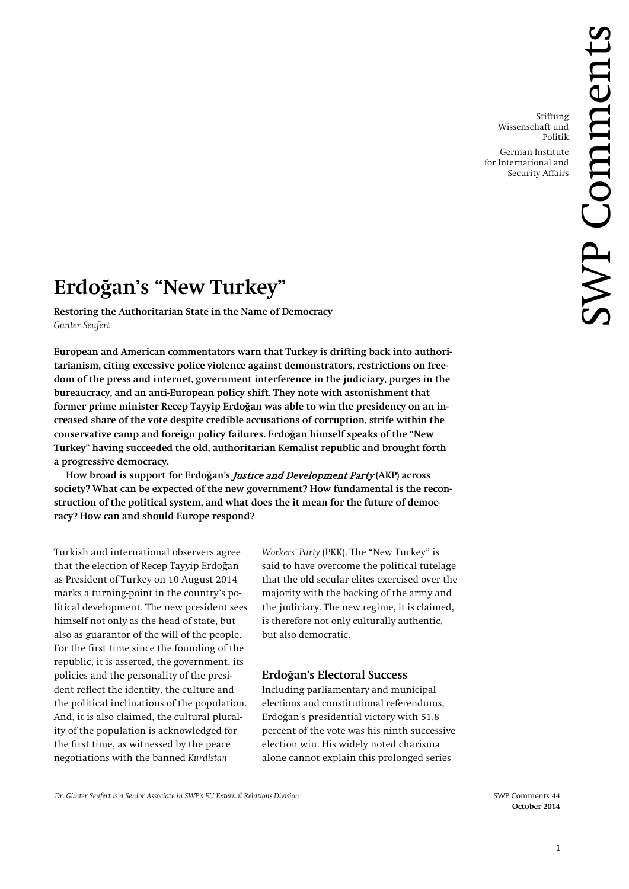Stiftung Wissenschaft und Politik

German Institute for International and Security Affairs

# **Erdoğan's "New Turkey"**

**Restoring the Authoritarian State in the Name of Democracy** *Günter Seufert*

**European and American commentators warn that Turkey is drifting back into authoritarianism, citing excessive police violence against demonstrators, restrictions on freedom of the press and internet, government interference in the judiciary, purges in the bureaucracy, and an anti-European policy shift. They note with astonishment that former prime minister Recep Tayyip Erdoğan was able to win the presidency on an increased share of the vote despite credible accusations of corruption, strife within the conservative camp and foreign policy failures. Erdoğan himself speaks of the "New Turkey" having succeeded the old, authoritarian Kemalist republic and brought forth a progressive democracy.**

**How broad is support for Erdoğan's** Justice and Development Party **(AKP) across society? What can be expected of the new government? How fundamental is the reconstruction of the political system, and what does the it mean for the future of democracy? How can and should Europe respond?**

Turkish and international observers agree that the election of Recep Tayyip Erdoğan as President of Turkey on 10 August 2014 marks a turning-point in the country's political development. The new president sees himself not only as the head of state, but also as guarantor of the will of the people. For the first time since the founding of the republic, it is asserted, the government, its policies and the personality of the president reflect the identity, the culture and the political inclinations of the population. And, it is also claimed, the cultural plurality of the population is acknowledged for the first time, as witnessed by the peace negotiations with the banned *Kurdistan* 

*Workers' Party* (PKK). The "New Turkey" is said to have overcome the political tutelage that the old secular elites exercised over the majority with the backing of the army and the judiciary. The new regime, it is claimed, is therefore not only culturally authentic, but also democratic.

# **Erdoğan's Electoral Success**

Including parliamentary and municipal elections and constitutional referendums, Erdoğan's presidential victory with 51.8 percent of the vote was his ninth successive election win. His widely noted charisma alone cannot explain this prolonged series

**October 2014**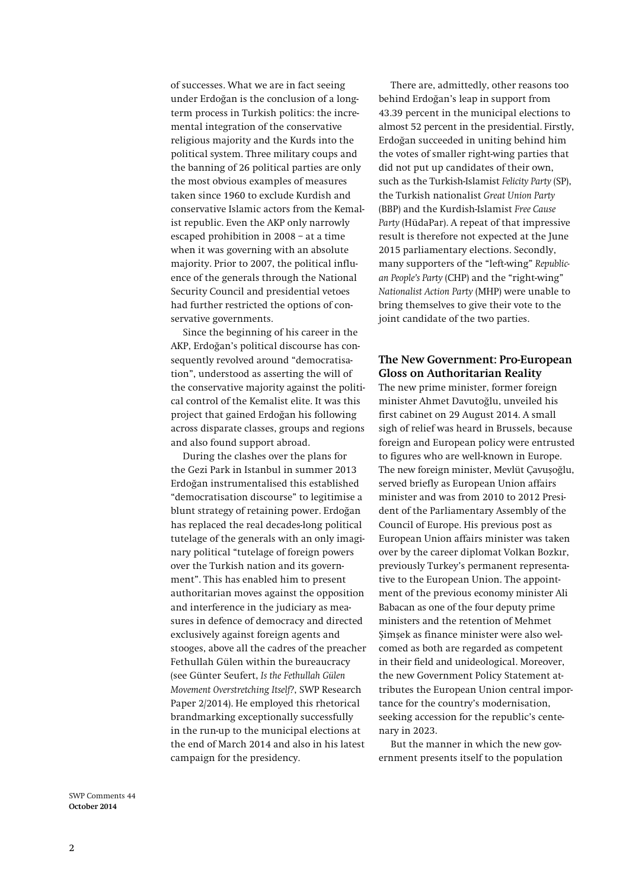of successes. What we are in fact seeing under Erdoğan is the conclusion of a longterm process in Turkish politics: the incremental integration of the conservative religious majority and the Kurds into the political system. Three military coups and the banning of 26 political parties are only the most obvious examples of measures taken since 1960 to exclude Kurdish and conservative Islamic actors from the Kemalist republic. Even the AKP only narrowly escaped prohibition in 2008 – at a time when it was governing with an absolute majority. Prior to 2007, the political influence of the generals through the National Security Council and presidential vetoes had further restricted the options of conservative governments.

Since the beginning of his career in the AKP, Erdoğan's political discourse has consequently revolved around "democratisation", understood as asserting the will of the conservative majority against the political control of the Kemalist elite. It was this project that gained Erdoğan his following across disparate classes, groups and regions and also found support abroad.

During the clashes over the plans for the Gezi Park in Istanbul in summer 2013 Erdoğan instrumentalised this established "democratisation discourse" to legitimise a blunt strategy of retaining power. Erdoğan has replaced the real decades-long political tutelage of the generals with an only imaginary political "tutelage of foreign powers over the Turkish nation and its government". This has enabled him to present authoritarian moves against the opposition and interference in the judiciary as measures in defence of democracy and directed exclusively against foreign agents and stooges, above all the cadres of the preacher Fethullah Gülen within the bureaucracy (see Günter Seufert, *Is the Fethullah Gülen Movement Overstretching Itself?*, SWP Research Paper 2/2014). He employed this rhetorical brandmarking exceptionally successfully in the run-up to the municipal elections at the end of March 2014 and also in his latest campaign for the presidency.

There are, admittedly, other reasons too behind Erdoğan's leap in support from 43.39 percent in the municipal elections to almost 52 percent in the presidential. Firstly, Erdoğan succeeded in uniting behind him the votes of smaller right-wing parties that did not put up candidates of their own, such as the Turkish-Islamist *Felicity Party* (SP), the Turkish nationalist *Great Union Party* (BBP) and the Kurdish-Islamist *Free Cause Party* (HüdaPar). A repeat of that impressive result is therefore not expected at the June 2015 parliamentary elections. Secondly, many supporters of the "left-wing" *Republican People's Party* (CHP) and the "right-wing" *Nationalist Action Party* (MHP) were unable to bring themselves to give their vote to the joint candidate of the two parties.

# **The New Government: Pro-European Gloss on Authoritarian Reality**

The new prime minister, former foreign minister Ahmet Davutoğlu, unveiled his first cabinet on 29 August 2014. A small sigh of relief was heard in Brussels, because foreign and European policy were entrusted to figures who are well-known in Europe. The new foreign minister, Mevlüt Çavuşoğlu, served briefly as European Union affairs minister and was from 2010 to 2012 President of the Parliamentary Assembly of the Council of Europe. His previous post as European Union affairs minister was taken over by the career diplomat Volkan Bozkır, previously Turkey's permanent representative to the European Union. The appointment of the previous economy minister Ali Babacan as one of the four deputy prime ministers and the retention of Mehmet Şimşek as finance minister were also welcomed as both are regarded as competent in their field and unideological. Moreover, the new Government Policy Statement attributes the European Union central importance for the country's modernisation, seeking accession for the republic's centenary in 2023.

But the manner in which the new government presents itself to the population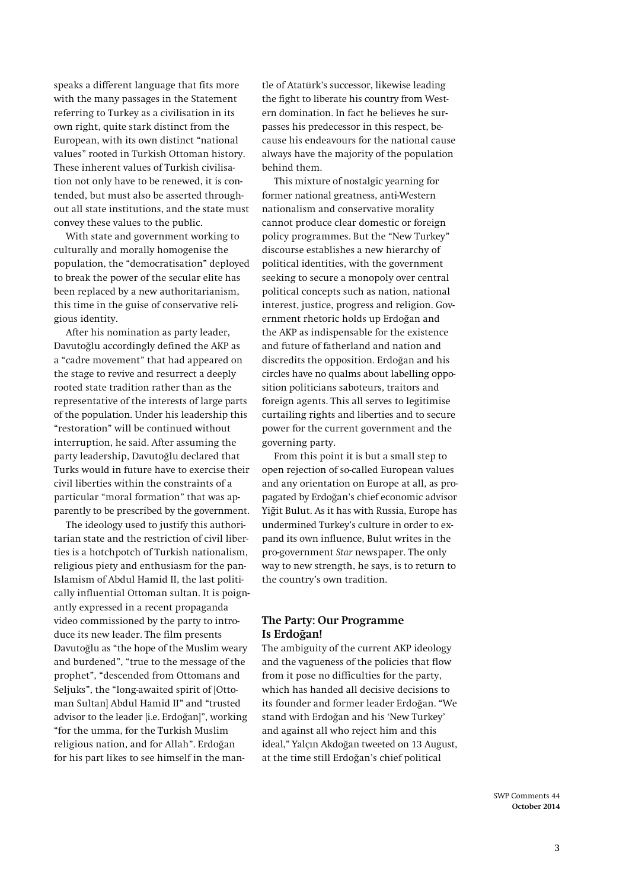speaks a different language that fits more with the many passages in the Statement referring to Turkey as a civilisation in its own right, quite stark distinct from the European, with its own distinct "national values" rooted in Turkish Ottoman history. These inherent values of Turkish civilisation not only have to be renewed, it is contended, but must also be asserted throughout all state institutions, and the state must convey these values to the public.

With state and government working to culturally and morally homogenise the population, the "democratisation" deployed to break the power of the secular elite has been replaced by a new authoritarianism, this time in the guise of conservative religious identity.

After his nomination as party leader, Davutoğlu accordingly defined the AKP as a "cadre movement" that had appeared on the stage to revive and resurrect a deeply rooted state tradition rather than as the representative of the interests of large parts of the population. Under his leadership this "restoration" will be continued without interruption, he said. After assuming the party leadership, Davutoğlu declared that Turks would in future have to exercise their civil liberties within the constraints of a particular "moral formation" that was apparently to be prescribed by the government.

The ideology used to justify this authoritarian state and the restriction of civil liberties is a hotchpotch of Turkish nationalism, religious piety and enthusiasm for the pan-Islamism of Abdul Hamid II, the last politically influential Ottoman sultan. It is poignantly expressed in a recent propaganda video commissioned by the party to introduce its new leader. The film presents Davutoğlu as "the hope of the Muslim weary and burdened", "true to the message of the prophet", "descended from Ottomans and Seljuks", the "long-awaited spirit of [Ottoman Sultan] Abdul Hamid II" and "trusted advisor to the leader [i.e. Erdoğan]", working "for the umma, for the Turkish Muslim religious nation, and for Allah". Erdoğan for his part likes to see himself in the man-

tle of Atatürk's successor, likewise leading the fight to liberate his country from Western domination. In fact he believes he surpasses his predecessor in this respect, because his endeavours for the national cause always have the majority of the population behind them.

This mixture of nostalgic yearning for former national greatness, anti-Western nationalism and conservative morality cannot produce clear domestic or foreign policy programmes. But the "New Turkey" discourse establishes a new hierarchy of political identities, with the government seeking to secure a monopoly over central political concepts such as nation, national interest, justice, progress and religion. Government rhetoric holds up Erdoğan and the AKP as indispensable for the existence and future of fatherland and nation and discredits the opposition. Erdoğan and his circles have no qualms about labelling opposition politicians saboteurs, traitors and foreign agents. This all serves to legitimise curtailing rights and liberties and to secure power for the current government and the governing party.

From this point it is but a small step to open rejection of so-called European values and any orientation on Europe at all, as propagated by Erdoğan's chief economic advisor Yiğit Bulut. As it has with Russia, Europe has undermined Turkey's culture in order to expand its own influence, Bulut writes in the pro-government *Star* newspaper. The only way to new strength, he says, is to return to the country's own tradition.

# **The Party: Our Programme Is Erdoğan!**

The ambiguity of the current AKP ideology and the vagueness of the policies that flow from it pose no difficulties for the party, which has handed all decisive decisions to its founder and former leader Erdoğan. "We stand with Erdoğan and his 'New Turkey' and against all who reject him and this ideal," Yalçın Akdoğan tweeted on 13 August, at the time still Erdoğan's chief political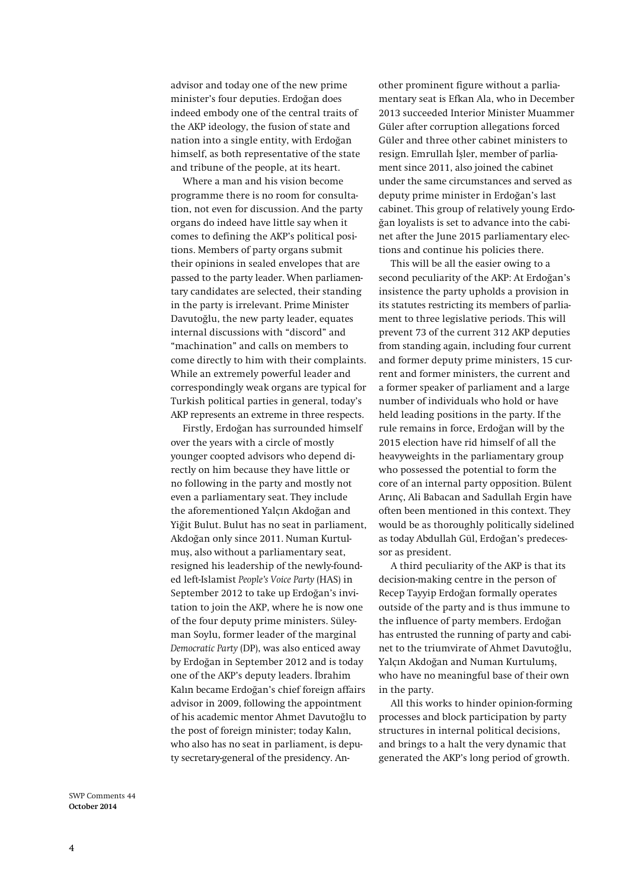advisor and today one of the new prime minister's four deputies. Erdoğan does indeed embody one of the central traits of the AKP ideology, the fusion of state and nation into a single entity, with Erdoğan himself, as both representative of the state and tribune of the people, at its heart.

Where a man and his vision become programme there is no room for consultation, not even for discussion. And the party organs do indeed have little say when it comes to defining the AKP's political positions. Members of party organs submit their opinions in sealed envelopes that are passed to the party leader. When parliamentary candidates are selected, their standing in the party is irrelevant. Prime Minister Davutoğlu, the new party leader, equates internal discussions with "discord" and "machination" and calls on members to come directly to him with their complaints. While an extremely powerful leader and correspondingly weak organs are typical for Turkish political parties in general, today's AKP represents an extreme in three respects.

Firstly, Erdoğan has surrounded himself over the years with a circle of mostly younger coopted advisors who depend directly on him because they have little or no following in the party and mostly not even a parliamentary seat. They include the aforementioned Yalçın Akdoğan and Yiğit Bulut. Bulut has no seat in parliament, Akdoğan only since 2011. Numan Kurtulmuş, also without a parliamentary seat, resigned his leadership of the newly-founded left-Islamist *People's Voice Party* (HAS) in September 2012 to take up Erdoğan's invitation to join the AKP, where he is now one of the four deputy prime ministers. Süleyman Soylu, former leader of the marginal *Democratic Party* (DP), was also enticed away by Erdoğan in September 2012 and is today one of the AKP's deputy leaders. İbrahim Kalın became Erdoğan's chief foreign affairs advisor in 2009, following the appointment of his academic mentor Ahmet Davutoğlu to the post of foreign minister; today Kalın, who also has no seat in parliament, is deputy secretary-general of the presidency. An-

other prominent figure without a parliamentary seat is Efkan Ala, who in December 2013 succeeded Interior Minister Muammer Güler after corruption allegations forced Güler and three other cabinet ministers to resign. Emrullah İşler, member of parliament since 2011, also joined the cabinet under the same circumstances and served as deputy prime minister in Erdoğan's last cabinet. This group of relatively young Erdoğan loyalists is set to advance into the cabinet after the June 2015 parliamentary elections and continue his policies there.

This will be all the easier owing to a second peculiarity of the AKP: At Erdoğan's insistence the party upholds a provision in its statutes restricting its members of parliament to three legislative periods. This will prevent 73 of the current 312 AKP deputies from standing again, including four current and former deputy prime ministers, 15 current and former ministers, the current and a former speaker of parliament and a large number of individuals who hold or have held leading positions in the party. If the rule remains in force, Erdoğan will by the 2015 election have rid himself of all the heavyweights in the parliamentary group who possessed the potential to form the core of an internal party opposition. Bülent Arınç, Ali Babacan and Sadullah Ergin have often been mentioned in this context. They would be as thoroughly politically sidelined as today Abdullah Gül, Erdoğan's predecessor as president.

A third peculiarity of the AKP is that its decision-making centre in the person of Recep Tayyip Erdoğan formally operates outside of the party and is thus immune to the influence of party members. Erdoğan has entrusted the running of party and cabinet to the triumvirate of Ahmet Davutoğlu, Yalçın Akdoğan and Numan Kurtulumş, who have no meaningful base of their own in the party.

All this works to hinder opinion-forming processes and block participation by party structures in internal political decisions, and brings to a halt the very dynamic that generated the AKP's long period of growth.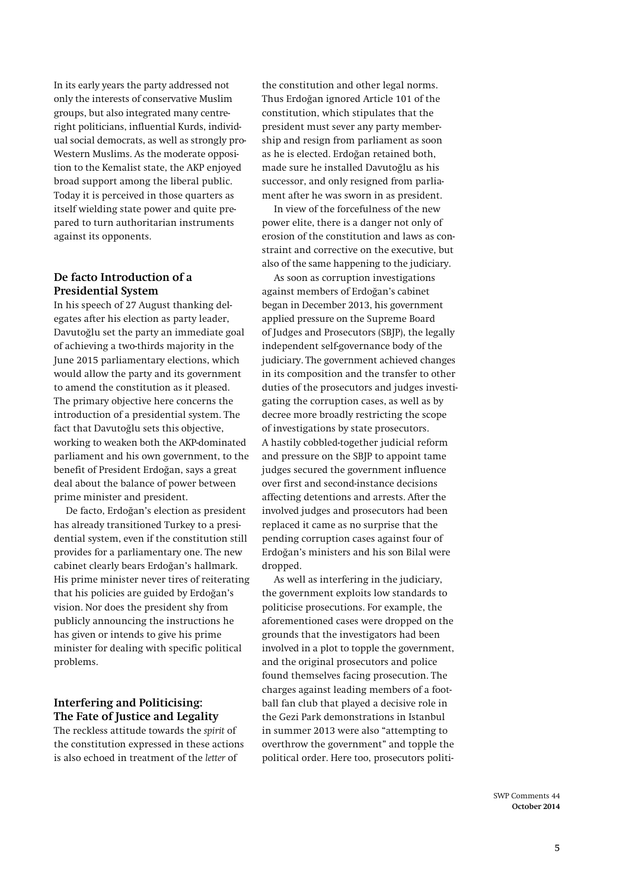In its early years the party addressed not only the interests of conservative Muslim groups, but also integrated many centreright politicians, influential Kurds, individual social democrats, as well as strongly pro-Western Muslims. As the moderate opposition to the Kemalist state, the AKP enjoyed broad support among the liberal public. Today it is perceived in those quarters as itself wielding state power and quite prepared to turn authoritarian instruments against its opponents.

# **De facto Introduction of a Presidential System**

In his speech of 27 August thanking delegates after his election as party leader, Davutoğlu set the party an immediate goal of achieving a two-thirds majority in the June 2015 parliamentary elections, which would allow the party and its government to amend the constitution as it pleased. The primary objective here concerns the introduction of a presidential system. The fact that Davutoğlu sets this objective, working to weaken both the AKP-dominated parliament and his own government, to the benefit of President Erdoğan, says a great deal about the balance of power between prime minister and president.

De facto, Erdoğan's election as president has already transitioned Turkey to a presidential system, even if the constitution still provides for a parliamentary one. The new cabinet clearly bears Erdoğan's hallmark. His prime minister never tires of reiterating that his policies are guided by Erdoğan's vision. Nor does the president shy from publicly announcing the instructions he has given or intends to give his prime minister for dealing with specific political problems.

# **Interfering and Politicising: The Fate of Justice and Legality**

The reckless attitude towards the *spirit* of the constitution expressed in these actions is also echoed in treatment of the *letter* of

the constitution and other legal norms. Thus Erdoğan ignored Article 101 of the constitution, which stipulates that the president must sever any party membership and resign from parliament as soon as he is elected. Erdoğan retained both, made sure he installed Davutoğlu as his successor, and only resigned from parliament after he was sworn in as president.

In view of the forcefulness of the new power elite, there is a danger not only of erosion of the constitution and laws as constraint and corrective on the executive, but also of the same happening to the judiciary.

As soon as corruption investigations against members of Erdoğan's cabinet began in December 2013, his government applied pressure on the Supreme Board of Judges and Prosecutors (SBJP), the legally independent self-governance body of the judiciary. The government achieved changes in its composition and the transfer to other duties of the prosecutors and judges investigating the corruption cases, as well as by decree more broadly restricting the scope of investigations by state prosecutors. A hastily cobbled-together judicial reform and pressure on the SBJP to appoint tame judges secured the government influence over first and second-instance decisions affecting detentions and arrests. After the involved judges and prosecutors had been replaced it came as no surprise that the pending corruption cases against four of Erdoğan's ministers and his son Bilal were dropped.

As well as interfering in the judiciary, the government exploits low standards to politicise prosecutions. For example, the aforementioned cases were dropped on the grounds that the investigators had been involved in a plot to topple the government, and the original prosecutors and police found themselves facing prosecution. The charges against leading members of a football fan club that played a decisive role in the Gezi Park demonstrations in Istanbul in summer 2013 were also "attempting to overthrow the government" and topple the political order. Here too, prosecutors politi-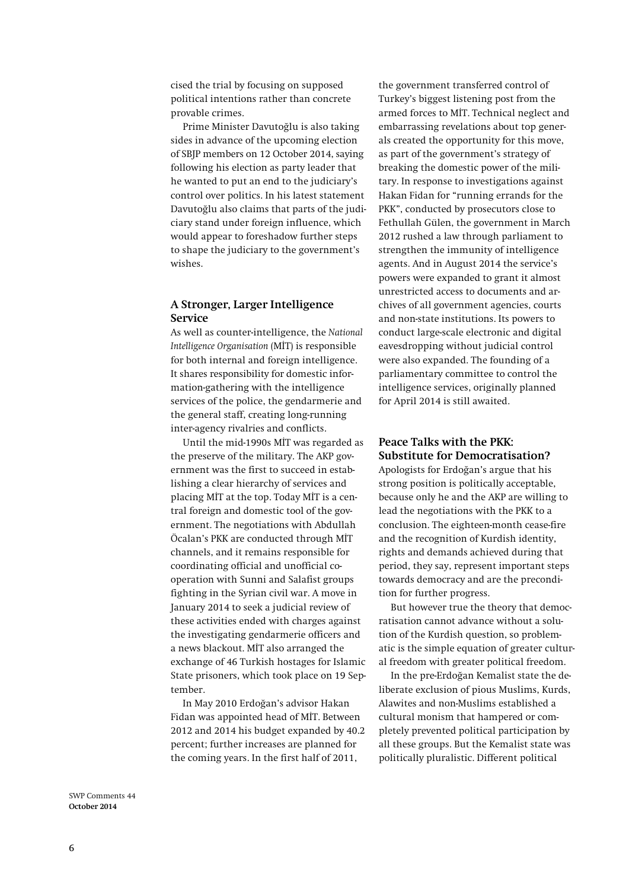cised the trial by focusing on supposed political intentions rather than concrete provable crimes.

Prime Minister Davutoğlu is also taking sides in advance of the upcoming election of SBJP members on 12 October 2014, saying following his election as party leader that he wanted to put an end to the judiciary's control over politics. In his latest statement Davutoğlu also claims that parts of the judiciary stand under foreign influence, which would appear to foreshadow further steps to shape the judiciary to the government's wishes.

### **A Stronger, Larger Intelligence Service**

As well as counter-intelligence, the *National Intelligence Organisation* (MİT) is responsible for both internal and foreign intelligence. It shares responsibility for domestic information-gathering with the intelligence services of the police, the gendarmerie and the general staff, creating long-running inter-agency rivalries and conflicts.

Until the mid-1990s MİT was regarded as the preserve of the military. The AKP government was the first to succeed in establishing a clear hierarchy of services and placing MİT at the top. Today MİT is a central foreign and domestic tool of the government. The negotiations with Abdullah Öcalan's PKK are conducted through MİT channels, and it remains responsible for coordinating official and unofficial cooperation with Sunni and Salafist groups fighting in the Syrian civil war. A move in January 2014 to seek a judicial review of these activities ended with charges against the investigating gendarmerie officers and a news blackout. MİT also arranged the exchange of 46 Turkish hostages for Islamic State prisoners, which took place on 19 September.

In May 2010 Erdoğan's advisor Hakan Fidan was appointed head of MİT. Between 2012 and 2014 his budget expanded by 40.2 percent; further increases are planned for the coming years. In the first half of 2011,

the government transferred control of Turkey's biggest listening post from the armed forces to MİT. Technical neglect and embarrassing revelations about top generals created the opportunity for this move, as part of the government's strategy of breaking the domestic power of the military. In response to investigations against Hakan Fidan for "running errands for the PKK", conducted by prosecutors close to Fethullah Gülen, the government in March 2012 rushed a law through parliament to strengthen the immunity of intelligence agents. And in August 2014 the service's powers were expanded to grant it almost unrestricted access to documents and archives of all government agencies, courts and non-state institutions. Its powers to conduct large-scale electronic and digital eavesdropping without judicial control were also expanded. The founding of a parliamentary committee to control the intelligence services, originally planned for April 2014 is still awaited.

# **Peace Talks with the PKK: Substitute for Democratisation?**

Apologists for Erdoğan's argue that his strong position is politically acceptable, because only he and the AKP are willing to lead the negotiations with the PKK to a conclusion. The eighteen-month cease-fire and the recognition of Kurdish identity, rights and demands achieved during that period, they say, represent important steps towards democracy and are the precondition for further progress.

But however true the theory that democratisation cannot advance without a solution of the Kurdish question, so problematic is the simple equation of greater cultural freedom with greater political freedom.

In the pre-Erdoğan Kemalist state the deliberate exclusion of pious Muslims, Kurds, Alawites and non-Muslims established a cultural monism that hampered or completely prevented political participation by all these groups. But the Kemalist state was politically pluralistic. Different political